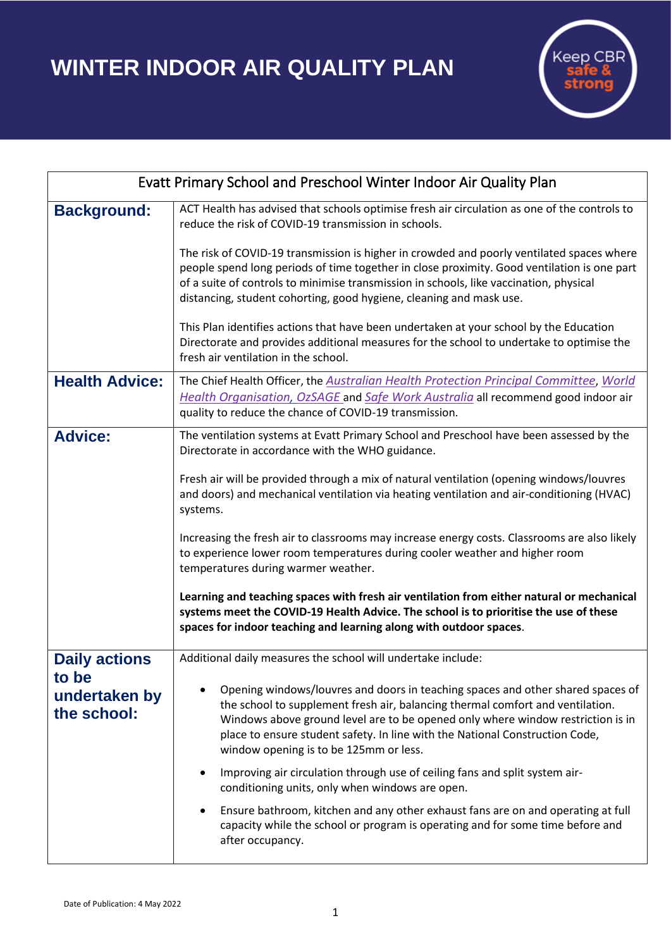**WINTER INDOOR AIR QUALITY PLAN**



| Evatt Primary School and Preschool Winter Indoor Air Quality Plan |                                                                                                                                                                                                                                                                                                                                                                                |
|-------------------------------------------------------------------|--------------------------------------------------------------------------------------------------------------------------------------------------------------------------------------------------------------------------------------------------------------------------------------------------------------------------------------------------------------------------------|
| <b>Background:</b>                                                | ACT Health has advised that schools optimise fresh air circulation as one of the controls to<br>reduce the risk of COVID-19 transmission in schools.                                                                                                                                                                                                                           |
|                                                                   | The risk of COVID-19 transmission is higher in crowded and poorly ventilated spaces where<br>people spend long periods of time together in close proximity. Good ventilation is one part<br>of a suite of controls to minimise transmission in schools, like vaccination, physical<br>distancing, student cohorting, good hygiene, cleaning and mask use.                      |
|                                                                   | This Plan identifies actions that have been undertaken at your school by the Education<br>Directorate and provides additional measures for the school to undertake to optimise the<br>fresh air ventilation in the school.                                                                                                                                                     |
| <b>Health Advice:</b>                                             | The Chief Health Officer, the Australian Health Protection Principal Committee, World<br>Health Organisation, OzSAGE and Safe Work Australia all recommend good indoor air<br>quality to reduce the chance of COVID-19 transmission.                                                                                                                                           |
| <b>Advice:</b>                                                    | The ventilation systems at Evatt Primary School and Preschool have been assessed by the<br>Directorate in accordance with the WHO guidance.                                                                                                                                                                                                                                    |
|                                                                   | Fresh air will be provided through a mix of natural ventilation (opening windows/louvres<br>and doors) and mechanical ventilation via heating ventilation and air-conditioning (HVAC)<br>systems.                                                                                                                                                                              |
|                                                                   | Increasing the fresh air to classrooms may increase energy costs. Classrooms are also likely<br>to experience lower room temperatures during cooler weather and higher room<br>temperatures during warmer weather.                                                                                                                                                             |
|                                                                   | Learning and teaching spaces with fresh air ventilation from either natural or mechanical<br>systems meet the COVID-19 Health Advice. The school is to prioritise the use of these<br>spaces for indoor teaching and learning along with outdoor spaces.                                                                                                                       |
| <b>Daily actions</b><br>to be<br>undertaken by<br>the school:     | Additional daily measures the school will undertake include:                                                                                                                                                                                                                                                                                                                   |
|                                                                   | Opening windows/louvres and doors in teaching spaces and other shared spaces of<br>the school to supplement fresh air, balancing thermal comfort and ventilation.<br>Windows above ground level are to be opened only where window restriction is in<br>place to ensure student safety. In line with the National Construction Code,<br>window opening is to be 125mm or less. |
|                                                                   | Improving air circulation through use of ceiling fans and split system air-<br>$\bullet$<br>conditioning units, only when windows are open.                                                                                                                                                                                                                                    |
|                                                                   | Ensure bathroom, kitchen and any other exhaust fans are on and operating at full<br>٠<br>capacity while the school or program is operating and for some time before and<br>after occupancy.                                                                                                                                                                                    |